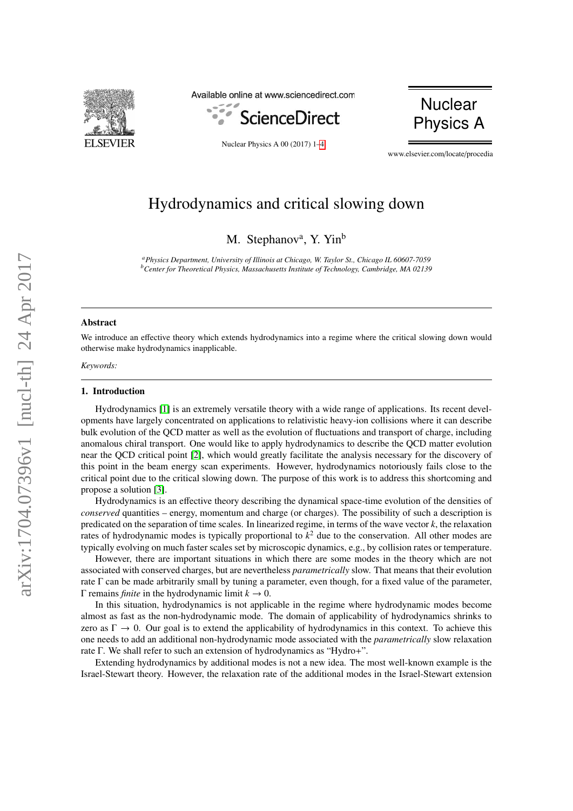

Available online at www.sciencedirect.com



Nuclear Physics A 00 (2017) 1[–4](#page-3-0)



www.elsevier.com/locate/procedia

# Hydrodynamics and critical slowing down

M. Stephanov<sup>a</sup>, Y. Yin<sup>b</sup>

*<sup>a</sup>Physics Department, University of Illinois at Chicago, W. Taylor St., Chicago IL 60607-7059 <sup>b</sup>Center for Theoretical Physics, Massachusetts Institute of Technology, Cambridge, MA 02139*

# Abstract

We introduce an effective theory which extends hydrodynamics into a regime where the critical slowing down would otherwise make hydrodynamics inapplicable.

*Keywords:*

### 1. Introduction

Hydrodynamics [\[1\]](#page-3-1) is an extremely versatile theory with a wide range of applications. Its recent developments have largely concentrated on applications to relativistic heavy-ion collisions where it can describe bulk evolution of the QCD matter as well as the evolution of fluctuations and transport of charge, including anomalous chiral transport. One would like to apply hydrodynamics to describe the QCD matter evolution near the QCD critical point [\[2\]](#page-3-2), which would greatly facilitate the analysis necessary for the discovery of this point in the beam energy scan experiments. However, hydrodynamics notoriously fails close to the critical point due to the critical slowing down. The purpose of this work is to address this shortcoming and propose a solution [\[3\]](#page-3-3).

Hydrodynamics is an effective theory describing the dynamical space-time evolution of the densities of *conserved* quantities – energy, momentum and charge (or charges). The possibility of such a description is predicated on the separation of time scales. In linearized regime, in terms of the wave vector *k*, the relaxation rates of hydrodynamic modes is typically proportional to *k* <sup>2</sup> due to the conservation. All other modes are typically evolving on much faster scales set by microscopic dynamics, e.g., by collision rates or temperature.

However, there are important situations in which there are some modes in the theory which are not associated with conserved charges, but are nevertheless *parametrically* slow. That means that their evolution rate  $\Gamma$  can be made arbitrarily small by tuning a parameter, even though, for a fixed value of the parameter, Γ remains *finite* in the hydrodynamic limit *k* → 0.

In this situation, hydrodynamics is not applicable in the regime where hydrodynamic modes become almost as fast as the non-hydrodynamic mode. The domain of applicability of hydrodynamics shrinks to zero as  $\Gamma \to 0$ . Our goal is to extend the applicability of hydrodynamics in this context. To achieve this one needs to add an additional non-hydrodynamic mode associated with the *parametrically* slow relaxation rate Γ. We shall refer to such an extension of hydrodynamics as "Hydro+".

Extending hydrodynamics by additional modes is not a new idea. The most well-known example is the Israel-Stewart theory. However, the relaxation rate of the additional modes in the Israel-Stewart extension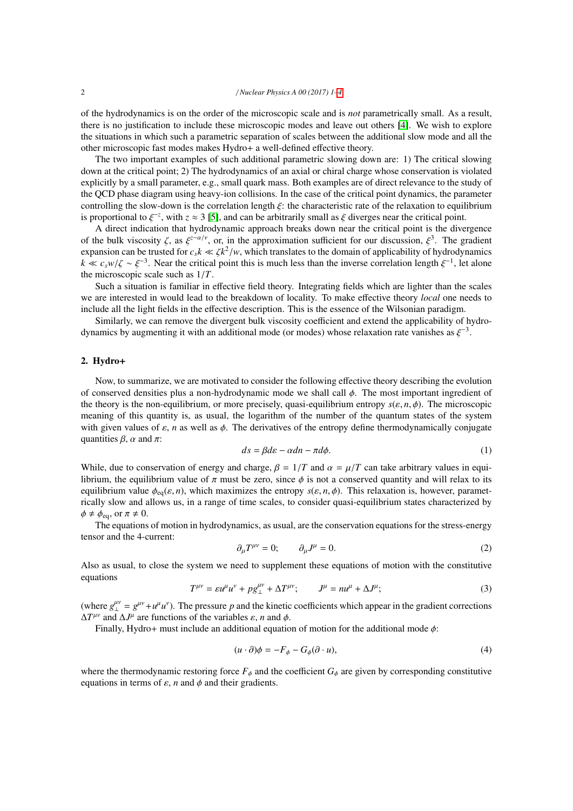of the hydrodynamics is on the order of the microscopic scale and is *not* parametrically small. As a result, there is no justification to include these microscopic modes and leave out others [\[4\]](#page-3-4). We wish to explore the situations in which such a parametric separation of scales between the additional slow mode and all the other microscopic fast modes makes Hydro+ a well-defined effective theory.

The two important examples of such additional parametric slowing down are: 1) The critical slowing down at the critical point; 2) The hydrodynamics of an axial or chiral charge whose conservation is violated explicitly by a small parameter, e.g., small quark mass. Both examples are of direct relevance to the study of the QCD phase diagram using heavy-ion collisions. In the case of the critical point dynamics, the parameter controlling the slow-down is the correlation length ξ: the characteristic rate of the relaxation to equilibrium is proportional to  $\xi^{-z}$ , with  $z \approx 3$  [\[5\]](#page-3-5), and can be arbitrarily small as  $\xi$  diverges near the critical point.<br>A direct indication that hydrodynamic approach breaks down near the critical point is the dive

A direct indication that hydrodynamic approach breaks down near the critical point is the divergence of the bulk viscosity  $\zeta$ , as  $\xi^{z-\alpha/\gamma}$ , or, in the approximation sufficient for our discussion,  $\xi^3$ . The gradient<br>expansion can be trusted for  $c, k \ll \zeta k^2/w$  which translates to the domain of applicability of hydr expansion can be trusted for  $c_s k \ll \zeta k^2/w$ , which translates to the domain of applicability of hydrodynamics  $k \ll c w/\zeta \approx \zeta^{-3}$ . Near the critical point this is much less than the inverse correlation length  $\zeta^{-1}$  let  $k \ll c_s w/\zeta \sim \xi^{-3}$ . Near the critical point this is much less than the inverse correlation length  $\xi^{-1}$ , let alone<br>the microscopic scale such as  $1/T$ the microscopic scale such as 1/*T*.

Such a situation is familiar in effective field theory. Integrating fields which are lighter than the scales we are interested in would lead to the breakdown of locality. To make effective theory *local* one needs to include all the light fields in the effective description. This is the essence of the Wilsonian paradigm.

Similarly, we can remove the divergent bulk viscosity coefficient and extend the applicability of hydrodynamics by augmenting it with an additional mode (or modes) whose relaxation rate vanishes as  $\xi^{-3}$ .

# 2. Hydro+

Now, to summarize, we are motivated to consider the following effective theory describing the evolution of conserved densities plus a non-hydrodynamic mode we shall call  $\phi$ . The most important ingredient of the theory is the non-equilibrium, or more precisely, quasi-equilibrium entropy *<sup>s</sup>*(ε, *<sup>n</sup>*, φ). The microscopic meaning of this quantity is, as usual, the logarithm of the number of the quantum states of the system with given values of  $\varepsilon$ , *n* as well as  $\phi$ . The derivatives of the entropy define thermodynamically conjugate quantities  $\beta$ ,  $\alpha$  and  $\pi$ :

$$
ds = \beta d\varepsilon - \alpha dn - \pi d\phi. \tag{1}
$$

While, due to conservation of energy and charge,  $\beta = 1/T$  and  $\alpha = \mu/T$  can take arbitrary values in equilibrium, the equilibrium value of  $\pi$  must be zero, since  $\phi$  is not a conserved quantity and will relax to its equilibrium value  $\phi_{eq}(\varepsilon, n)$ , which maximizes the entropy  $s(\varepsilon, n, \phi)$ . This relaxation is, however, parametrically slow and allows us, in a range of time scales, to consider quasi-equilibrium states characterized by  $\phi \neq \phi_{\text{eq}}$ , or  $\pi \neq 0$ .

The equations of motion in hydrodynamics, as usual, are the conservation equations for the stress-energy tensor and the 4-current:

$$
\partial_{\mu}T^{\mu\nu} = 0; \qquad \partial_{\mu}J^{\mu} = 0. \tag{2}
$$

Also as usual, to close the system we need to supplement these equations of motion with the constitutive equations

$$
T^{\mu\nu} = \varepsilon u^{\mu} u^{\nu} + \rho g^{\mu\nu}_{\perp} + \Delta T^{\mu\nu}; \qquad J^{\mu} = n u^{\mu} + \Delta J^{\mu}; \tag{3}
$$

(where  $g_{\perp}^{\mu\nu} = g^{\mu\nu} + u^{\mu}u^{\nu}$ ). The pressure p and the kinetic coefficients which appear in the gradient corrections  $\Delta T^{\mu\nu}$  and  $\Delta J^{\mu}$  are functions of the variables  $\varepsilon$ , *n* and  $\phi$ .<br>Finally Hydro+ must include an additional equation

Finally, Hydro+ must include an additional equation of motion for the additional mode  $\phi$ :

$$
(u \cdot \partial)\phi = -F_{\phi} - G_{\phi}(\partial \cdot u), \tag{4}
$$

where the thermodynamic restoring force  $F_{\phi}$  and the coefficient  $G_{\phi}$  are given by corresponding constitutive equations in terms of  $\varepsilon$ , *n* and  $\phi$  and their gradients.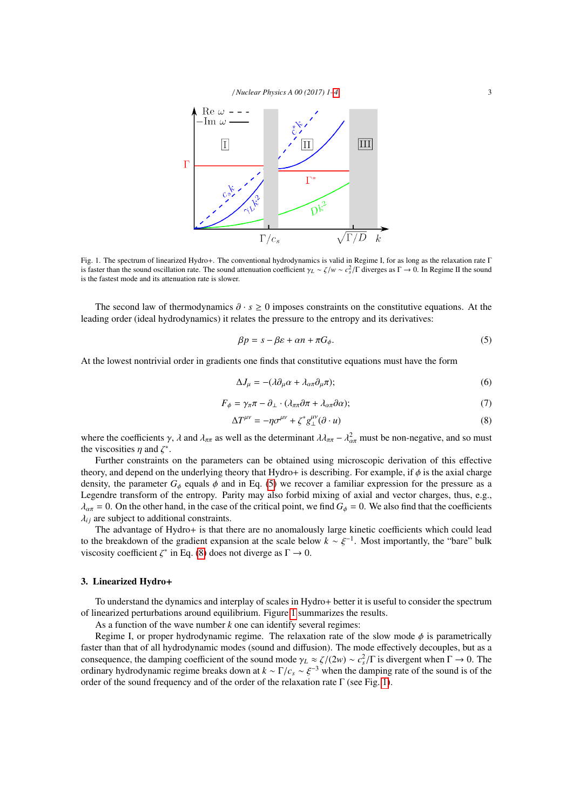

<span id="page-2-2"></span>Fig. 1. The spectrum of linearized Hydro+. The conventional hydrodynamics is valid in Regime I, for as long as the relaxation rate Γ is faster than the sound oscillation rate. The sound attenuation coefficient γ*L* ∼ ζ/*w* ∼  $c_s^2$ /Γ diverges as Γ → 0. In Regime II the sound<br>is the fastest mode and its attenuation rate is slower is the fastest mode and its attenuation rate is slower.

The second law of thermodynamics ∂ · *<sup>s</sup>* <sup>≥</sup> 0 imposes constraints on the constitutive equations. At the leading order (ideal hydrodynamics) it relates the pressure to the entropy and its derivatives:

<span id="page-2-0"></span>
$$
\beta p = s - \beta \varepsilon + \alpha n + \pi G_{\phi}.\tag{5}
$$

At the lowest nontrivial order in gradients one finds that constitutive equations must have the form

$$
\Delta J_{\mu} = -(\lambda \partial_{\mu} \alpha + \lambda_{\alpha \pi} \partial_{\mu} \pi); \tag{6}
$$

$$
F_{\phi} = \gamma_{\pi}\pi - \partial_{\perp} \cdot (\lambda_{\pi\pi}\partial \pi + \lambda_{\alpha\pi}\partial \alpha); \tag{7}
$$

<span id="page-2-1"></span>
$$
\Delta T^{\mu\nu} = -\eta \sigma^{\mu\nu} + \zeta^* g^{\mu\nu}_{\perp}(\partial \cdot u)
$$
 (8)

where the coefficients  $\gamma$ ,  $\lambda$  and  $\lambda_{\pi\pi}$  as well as the determinant  $\lambda \lambda_{\pi\pi} - \lambda_{\alpha\pi}^2$  must be non-negative, and so must<br>the viscosities *n* and  $\zeta^*$ the viscosities  $\eta$  and  $\zeta^*$ .<br>Further constraints

Further constraints on the parameters can be obtained using microscopic derivation of this effective theory, and depend on the underlying theory that Hydro+ is describing. For example, if  $\phi$  is the axial charge density, the parameter  $G_{\phi}$  equals  $\phi$  and in Eq. [\(5\)](#page-2-0) we recover a familiar expression for the pressure as a Legendre transform of the entropy. Parity may also forbid mixing of axial and vector charges, thus, e.g.,  $\lambda_{\alpha\pi} = 0$ . On the other hand, in the case of the critical point, we find  $G_{\phi} = 0$ . We also find that the coefficients  $\lambda_{ij}$  are subject to additional constraints.

The advantage of Hydro+ is that there are no anomalously large kinetic coefficients which could lead to the breakdown of the gradient expansion at the scale below  $k \sim \xi^{-1}$ . Most importantly, the "bare" bulk<br>viscosity coefficient  $\zeta^*$  in Eq. (8) does not diverge as  $\Gamma \to 0$ viscosity coefficient  $\zeta^*$  in Eq. [\(8\)](#page-2-1) does not diverge as  $\Gamma \to 0$ .

# 3. Linearized Hydro+

To understand the dynamics and interplay of scales in Hydro+ better it is useful to consider the spectrum of linearized perturbations around equilibrium. Figure [1](#page-2-2) summarizes the results.

As a function of the wave number *k* one can identify several regimes:

Regime I, or proper hydrodynamic regime. The relaxation rate of the slow mode  $\phi$  is parametrically faster than that of all hydrodynamic modes (sound and diffusion). The mode effectively decouples, but as a consequence, the damping coefficient of the sound mode  $\gamma_L \approx \zeta/(2w) \sim c_s^2/\Gamma$  is divergent when  $\Gamma \to 0$ . The ordinary hydrodynamic regime breaks down at  $k \sim \Gamma/c \approx \xi^{-3}$  when the damping rate of the sound is of the ordinary hydrodynamic regime breaks down at  $k \sim \Gamma/c_s \sim \xi^{-3}$  when the damping rate of the sound is of the order of the order of the relaxation rate  $\Gamma$  (see Fig. 1) order of the sound frequency and of the order of the relaxation rate  $\Gamma$  (see Fig. [1\)](#page-2-2).